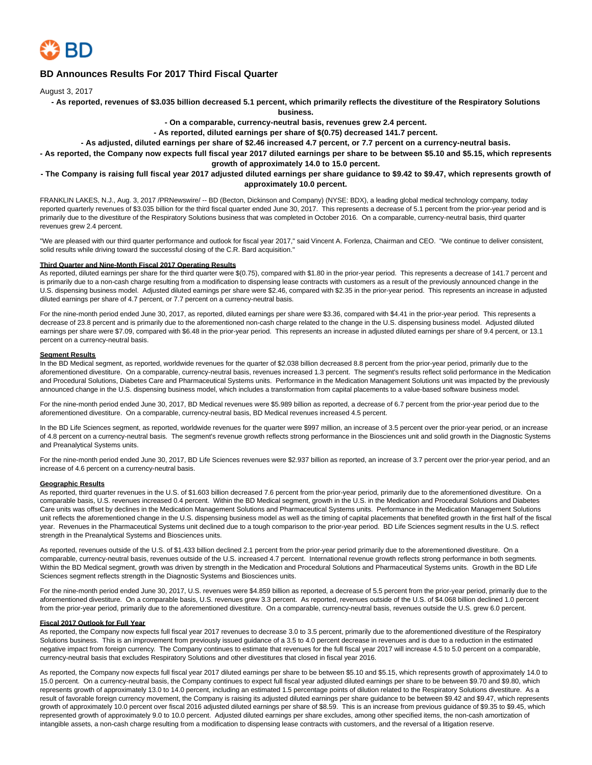

### **BD Announces Results For 2017 Third Fiscal Quarter**

August 3, 2017

**- As reported, revenues of \$3.035 billion decreased 5.1 percent, which primarily reflects the divestiture of the Respiratory Solutions**

**business.**

**- On a comparable, currency-neutral basis, revenues grew 2.4 percent.**

**- As reported, diluted earnings per share of \$(0.75) decreased 141.7 percent.**

**- As adjusted, diluted earnings per share of \$2.46 increased 4.7 percent, or 7.7 percent on a currency-neutral basis.**

**- As reported, the Company now expects full fiscal year 2017 diluted earnings per share to be between \$5.10 and \$5.15, which represents growth of approximately 14.0 to 15.0 percent.**

### **- The Company is raising full fiscal year 2017 adjusted diluted earnings per share guidance to \$9.42 to \$9.47, which represents growth of approximately 10.0 percent.**

FRANKLIN LAKES, N.J., Aug. 3, 2017 /PRNewswire/ -- BD (Becton, Dickinson and Company) (NYSE: BDX), a leading global medical technology company, today reported quarterly revenues of \$3.035 billion for the third fiscal quarter ended June 30, 2017. This represents a decrease of 5.1 percent from the prior-year period and is primarily due to the divestiture of the Respiratory Solutions business that was completed in October 2016. On a comparable, currency-neutral basis, third quarter revenues grew 2.4 percent.

"We are pleased with our third quarter performance and outlook for fiscal year 2017," said Vincent A. Forlenza, Chairman and CEO. "We continue to deliver consistent, solid results while driving toward the successful closing of the C.R. Bard acquisition."

#### **Third Quarter and Nine-Month Fiscal 2017 Operating Results**

As reported, diluted earnings per share for the third quarter were \$(0.75), compared with \$1.80 in the prior-year period. This represents a decrease of 141.7 percent and is primarily due to a non-cash charge resulting from a modification to dispensing lease contracts with customers as a result of the previously announced change in the U.S. dispensing business model. Adjusted diluted earnings per share were \$2.46, compared with \$2.35 in the prior-year period. This represents an increase in adjusted diluted earnings per share of 4.7 percent, or 7.7 percent on a currency-neutral basis.

For the nine-month period ended June 30, 2017, as reported, diluted earnings per share were \$3.36, compared with \$4.41 in the prior-year period. This represents a decrease of 23.8 percent and is primarily due to the aforementioned non-cash charge related to the change in the U.S. dispensing business model. Adjusted diluted earnings per share were \$7.09, compared with \$6.48 in the prior-year period. This represents an increase in adjusted diluted earnings per share of 9.4 percent, or 13.1 percent on a currency-neutral basis.

### **Segment Results**

In the BD Medical segment, as reported, worldwide revenues for the quarter of \$2.038 billion decreased 8.8 percent from the prior-year period, primarily due to the aforementioned divestiture. On a comparable, currency-neutral basis, revenues increased 1.3 percent. The segment's results reflect solid performance in the Medication and Procedural Solutions, Diabetes Care and Pharmaceutical Systems units. Performance in the Medication Management Solutions unit was impacted by the previously announced change in the U.S. dispensing business model, which includes a transformation from capital placements to a value-based software business model.

For the nine-month period ended June 30, 2017, BD Medical revenues were \$5.989 billion as reported, a decrease of 6.7 percent from the prior-year period due to the aforementioned divestiture. On a comparable, currency-neutral basis, BD Medical revenues increased 4.5 percent.

In the BD Life Sciences segment, as reported, worldwide revenues for the quarter were \$997 million, an increase of 3.5 percent over the prior-year period, or an increase of 4.8 percent on a currency-neutral basis. The segment's revenue growth reflects strong performance in the Biosciences unit and solid growth in the Diagnostic Systems and Preanalytical Systems units.

For the nine-month period ended June 30, 2017, BD Life Sciences revenues were \$2.937 billion as reported, an increase of 3.7 percent over the prior-year period, and an increase of 4.6 percent on a currency-neutral basis.

#### **Geographic Results**

As reported, third quarter revenues in the U.S. of \$1.603 billion decreased 7.6 percent from the prior-year period, primarily due to the aforementioned divestiture. On a comparable basis, U.S. revenues increased 0.4 percent. Within the BD Medical segment, growth in the U.S. in the Medication and Procedural Solutions and Diabetes Care units was offset by declines in the Medication Management Solutions and Pharmaceutical Systems units. Performance in the Medication Management Solutions unit reflects the aforementioned change in the U.S. dispensing business model as well as the timing of capital placements that benefited growth in the first half of the fiscal year. Revenues in the Pharmaceutical Systems unit declined due to a tough comparison to the prior-year period. BD Life Sciences segment results in the U.S. reflect strength in the Preanalytical Systems and Biosciences units.

As reported, revenues outside of the U.S. of \$1.433 billion declined 2.1 percent from the prior-year period primarily due to the aforementioned divestiture. On a comparable, currency-neutral basis, revenues outside of the U.S. increased 4.7 percent. International revenue growth reflects strong performance in both segments. Within the BD Medical segment, growth was driven by strength in the Medication and Procedural Solutions and Pharmaceutical Systems units. Growth in the BD Life Sciences segment reflects strength in the Diagnostic Systems and Biosciences units.

For the nine-month period ended June 30, 2017, U.S. revenues were \$4.859 billion as reported, a decrease of 5.5 percent from the prior-year period, primarily due to the aforementioned divestiture. On a comparable basis, U.S. revenues grew 3.3 percent. As reported, revenues outside of the U.S. of \$4.068 billion declined 1.0 percent from the prior-year period, primarily due to the aforementioned divestiture. On a comparable, currency-neutral basis, revenues outside the U.S. grew 6.0 percent.

#### **Fiscal 2017 Outlook for Full Year**

As reported, the Company now expects full fiscal year 2017 revenues to decrease 3.0 to 3.5 percent, primarily due to the aforementioned divestiture of the Respiratory Solutions business. This is an improvement from previously issued quidance of a 3.5 to 4.0 percent decrease in revenues and is due to a reduction in the estimated negative impact from foreign currency. The Company continues to estimate that revenues for the full fiscal year 2017 will increase 4.5 to 5.0 percent on a comparable, currency-neutral basis that excludes Respiratory Solutions and other divestitures that closed in fiscal year 2016.

As reported, the Company now expects full fiscal year 2017 diluted earnings per share to be between \$5.10 and \$5.15, which represents growth of approximately 14.0 to 15.0 percent. On a currency-neutral basis, the Company continues to expect full fiscal year adjusted diluted earnings per share to be between \$9.70 and \$9.80, which represents growth of approximately 13.0 to 14.0 percent, including an estimated 1.5 percentage points of dilution related to the Respiratory Solutions divestiture. As a result of favorable foreign currency movement, the Company is raising its adjusted diluted earnings per share guidance to be between \$9.42 and \$9.47, which represents growth of approximately 10.0 percent over fiscal 2016 adjusted diluted earnings per share of \$8.59. This is an increase from previous guidance of \$9.35 to \$9.45, which represented growth of approximately 9.0 to 10.0 percent. Adjusted diluted earnings per share excludes, among other specified items, the non-cash amortization of intangible assets, a non-cash charge resulting from a modification to dispensing lease contracts with customers, and the reversal of a litigation reserve.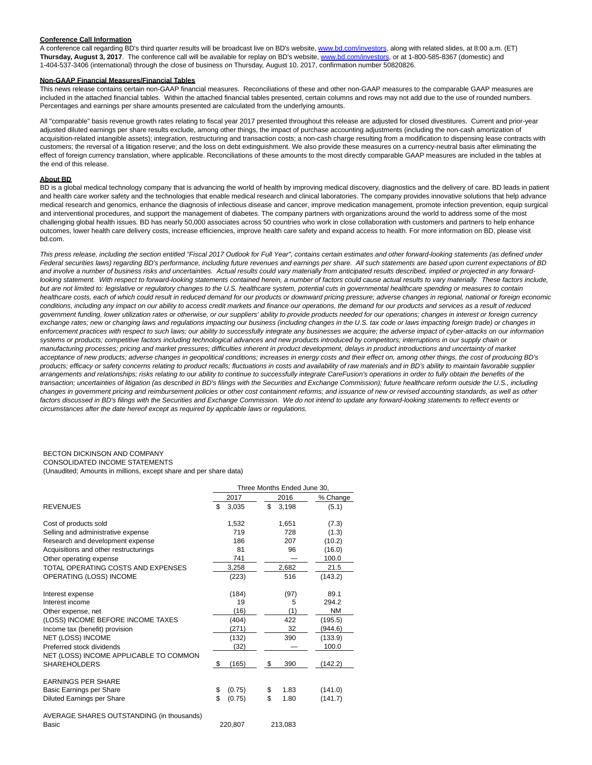#### **Conference Call Information**

A conference call regarding BD's third quarter results will be broadcast live on BD's website[, www.bd.com/investors,](http://www.bd.com/investors) along with related slides, at 8:00 a.m. (ET) **Thursday, August 3, 2017**. The conference call will be available for replay on BD's website[, www.bd.com/investors,](http://www.bd.com/investors) or at 1-800-585-8367 (domestic) and 1-404-537-3406 (international) through the close of business on Thursday, August 10, 2017, confirmation number 50820826.

#### **Non-GAAP Financial Measures/Financial Tables**

This news release contains certain non-GAAP financial measures. Reconciliations of these and other non-GAAP measures to the comparable GAAP measures are included in the attached financial tables. Within the attached financial tables presented, certain columns and rows may not add due to the use of rounded numbers. Percentages and earnings per share amounts presented are calculated from the underlying amounts.

All "comparable" basis revenue growth rates relating to fiscal year 2017 presented throughout this release are adjusted for closed divestitures. Current and prior-year adjusted diluted earnings per share results exclude, among other things, the impact of purchase accounting adjustments (including the non-cash amortization of acquisition-related intangible assets); integration, restructuring and transaction costs; a non-cash charge resulting from a modification to dispensing lease contracts with customers; the reversal of a litigation reserve; and the loss on debt extinguishment. We also provide these measures on a currency-neutral basis after eliminating the effect of foreign currency translation, where applicable. Reconciliations of these amounts to the most directly comparable GAAP measures are included in the tables at the end of this release.

#### **About BD**

BD is a global medical technology company that is advancing the world of health by improving medical discovery, diagnostics and the delivery of care. BD leads in patient and health care worker safety and the technologies that enable medical research and clinical laboratories. The company provides innovative solutions that help advance medical research and genomics, enhance the diagnosis of infectious disease and cancer, improve medication management, promote infection prevention, equip surgical and interventional procedures, and support the management of diabetes. The company partners with organizations around the world to address some of the most challenging global health issues. BD has nearly 50,000 associates across 50 countries who work in close collaboration with customers and partners to help enhance outcomes, lower health care delivery costs, increase efficiencies, improve health care safety and expand access to health. For more information on BD, please visit bd.com.

This press release, including the section entitled "Fiscal 2017 Outlook for Full Year", contains certain estimates and other forward-looking statements (as defined under Federal securities laws) regarding BD's performance, including future revenues and earnings per share. All such statements are based upon current expectations of BD and involve a number of business risks and uncertainties. Actual results could vary materially from anticipated results described, implied or projected in any forwardlooking statement. With respect to forward-looking statements contained herein, a number of factors could cause actual results to vary materially. These factors include, but are not limited to: legislative or regulatory changes to the U.S. healthcare system, potential cuts in governmental healthcare spending or measures to contain healthcare costs, each of which could result in reduced demand for our products or downward pricing pressure; adverse changes in regional, national or foreign economic conditions, including any impact on our ability to access credit markets and finance our operations, the demand for our products and services as a result of reduced government funding, lower utilization rates or otherwise, or our suppliers' ability to provide products needed for our operations; changes in interest or foreign currency exchange rates; new or changing laws and regulations impacting our business (including changes in the U.S. tax code or laws impacting foreign trade) or changes in enforcement practices with respect to such laws; our ability to successfully integrate any businesses we acquire; the adverse impact of cyber-attacks on our information systems or products; competitive factors including technological advances and new products introduced by competitors; interruptions in our supply chain or manufacturing processes; pricing and market pressures; difficulties inherent in product development, delays in product introductions and uncertainty of market acceptance of new products; adverse changes in geopolitical conditions; increases in energy costs and their effect on, among other things, the cost of producing BD's products; efficacy or safety concerns relating to product recalls; fluctuations in costs and availability of raw materials and in BD's ability to maintain favorable supplier arrangements and relationships; risks relating to our ability to continue to successfully integrate CareFusion's operations in order to fully obtain the benefits of the transaction; uncertainties of litigation (as described in BD's filings with the Securities and Exchange Commission); future healthcare reform outside the U.S., including changes in government pricing and reimbursement policies or other cost containment reforms; and issuance of new or revised accounting standards, as well as other factors discussed in BD's filings with the Securities and Exchange Commission. We do not intend to update any forward-looking statements to reflect events or circumstances after the date hereof except as required by applicable laws or regulations.

### BECTON DICKINSON AND COMPANY

CONSOLIDATED INCOME STATEMENTS (Unaudited; Amounts in millions, except share and per share data)

|                                                               |              |         | Three Months Ended June 30. |
|---------------------------------------------------------------|--------------|---------|-----------------------------|
|                                                               | 2017         |         | 2016<br>% Change            |
| <b>REVENUES</b>                                               | \$.<br>3,035 | \$      | 3.198<br>(5.1)              |
| Cost of products sold                                         | 1,532        |         | 1,651<br>(7.3)              |
| Selling and administrative expense                            | 719          |         | 728<br>(1.3)                |
| Research and development expense                              | 186          |         | (10.2)<br>207               |
| Acquisitions and other restructurings                         | 81           |         | 96<br>(16.0)                |
| Other operating expense                                       | 741          |         | 100.0                       |
| TOTAL OPERATING COSTS AND EXPENSES                            | 3,258        |         | 21.5<br>2,682               |
| OPERATING (LOSS) INCOME                                       | (223)        |         | 516<br>(143.2)              |
| Interest expense                                              | (184)        |         | (97)<br>89.1                |
| Interest income                                               |              | 19      | 294.2<br>5                  |
| Other expense, net                                            | (16)         |         | (1)<br><b>NM</b>            |
| (LOSS) INCOME BEFORE INCOME TAXES                             | (404)        |         | 422<br>(195.5)              |
| Income tax (benefit) provision                                | (271)        |         | 32<br>(944.6)               |
| NET (LOSS) INCOME                                             | (132)        |         | 390<br>(133.9)              |
| Preferred stock dividends                                     | (32)         |         | 100.0                       |
| NET (LOSS) INCOME APPLICABLE TO COMMON<br><b>SHAREHOLDERS</b> | \$<br>(165)  | \$      | 390<br>(142.2)              |
| <b>EARNINGS PER SHARE</b><br>Basic Earnings per Share         | \$<br>(0.75) | \$      | 1.83<br>(141.0)             |
| Diluted Earnings per Share                                    | \$<br>(0.75) | \$      | 1.80<br>(141.7)             |
|                                                               |              |         |                             |
| AVERAGE SHARES OUTSTANDING (in thousands)<br>Basic            | 220,807      | 213,083 |                             |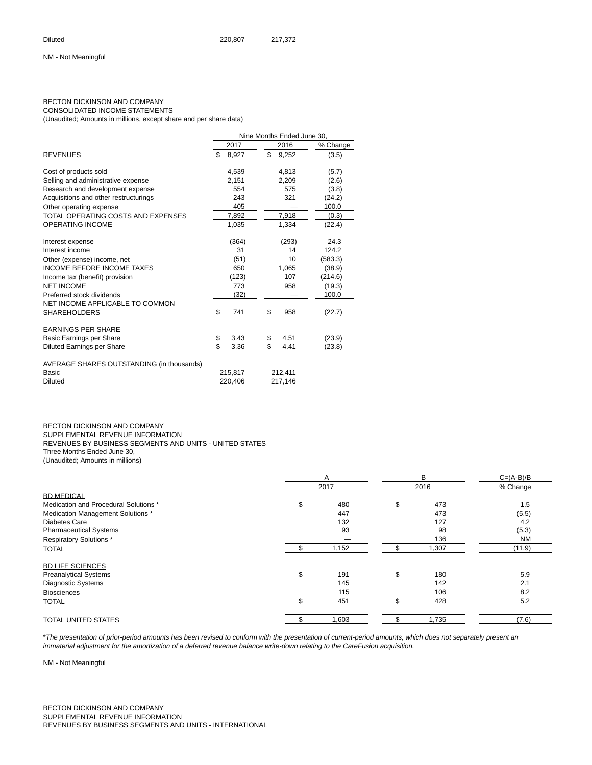#### BECTON DICKINSON AND COMPANY CONSOLIDATED INCOME STATEMENTS

(Unaudited; Amounts in millions, except share and per share data)

|                                           |             | Nine Months Ended June 30. |          |
|-------------------------------------------|-------------|----------------------------|----------|
|                                           | 2017        | 2016                       | % Change |
| <b>REVENUES</b>                           | \$<br>8,927 | \$<br>9,252                | (3.5)    |
| Cost of products sold                     | 4,539       | 4,813                      | (5.7)    |
| Selling and administrative expense        | 2,151       | 2,209                      | (2.6)    |
| Research and development expense          | 554         | 575                        | (3.8)    |
| Acquisitions and other restructurings     | 243         | 321                        | (24.2)   |
| Other operating expense                   | 405         |                            | 100.0    |
| TOTAL OPERATING COSTS AND EXPENSES        | 7,892       | 7,918                      | (0.3)    |
| <b>OPERATING INCOME</b>                   | 1.035       | 1,334                      | (22.4)   |
| Interest expense                          | (364)       | (293)                      | 24.3     |
| Interest income                           | 31          | 14                         | 124.2    |
| Other (expense) income, net               | (51)        | 10                         | (583.3)  |
| <b>INCOME BEFORE INCOME TAXES</b>         | 650         | 1,065                      | (38.9)   |
| Income tax (benefit) provision            | (123)       | 107                        | (214.6)  |
| <b>NET INCOME</b>                         | 773         | 958                        | (19.3)   |
| Preferred stock dividends                 | (32)        |                            | 100.0    |
| NET INCOME APPLICABLE TO COMMON           |             |                            |          |
| <b>SHAREHOLDERS</b>                       | \$<br>741   | \$<br>958                  | (22.7)   |
| <b>EARNINGS PER SHARE</b>                 |             |                            |          |
| Basic Earnings per Share                  | \$<br>3.43  | \$<br>4.51                 | (23.9)   |
| Diluted Earnings per Share                | \$<br>3.36  | \$<br>4.41                 | (23.8)   |
| AVERAGE SHARES OUTSTANDING (in thousands) |             |                            |          |
| Basic                                     | 215,817     | 212,411                    |          |
| <b>Diluted</b>                            | 220.406     | 217,146                    |          |

BECTON DICKINSON AND COMPANY SUPPLEMENTAL REVENUE INFORMATION REVENUES BY BUSINESS SEGMENTS AND UNITS - UNITED STATES Three Months Ended June 30, (Unaudited; Amounts in millions)

|                                       | A         |     | B     | $C = (A-B)/B$ |
|---------------------------------------|-----------|-----|-------|---------------|
|                                       | 2017      |     | 2016  | % Change      |
| <b>BD MEDICAL</b>                     |           |     |       |               |
| Medication and Procedural Solutions * | \$<br>480 | \$  | 473   | 1.5           |
| Medication Management Solutions *     | 447       |     | 473   | (5.5)         |
| Diabetes Care                         | 132       |     | 127   | 4.2           |
| <b>Pharmaceutical Systems</b>         | 93        |     | 98    | (5.3)         |
| Respiratory Solutions *               |           |     | 136   | <b>NM</b>     |
| <b>TOTAL</b>                          | 1,152     | \$  | 1,307 | (11.9)        |
| <b>BD LIFE SCIENCES</b>               |           |     |       |               |
| <b>Preanalytical Systems</b>          | \$<br>191 | \$  | 180   | 5.9           |
| <b>Diagnostic Systems</b>             | 145       |     | 142   | 2.1           |
| <b>Biosciences</b>                    | 115       |     | 106   | 8.2           |
| <b>TOTAL</b>                          | 451       | \$. | 428   | 5.2           |
| <b>TOTAL UNITED STATES</b>            | 1,603     |     | 1,735 | (7.6)         |

\*The presentation of prior-period amounts has been revised to conform with the presentation of current-period amounts, which does not separately present an immaterial adjustment for the amortization of a deferred revenue balance write-down relating to the CareFusion acquisition.

NM - Not Meaningful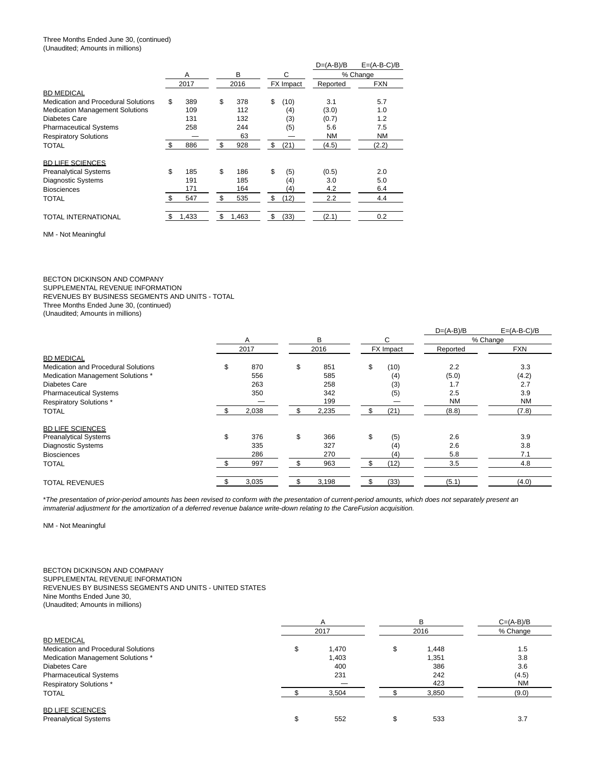#### Three Months Ended June 30, (continued) (Unaudited; Amounts in millions)

|                                        |     |       |             |                   | $D=(A-B)/B$ | $E=(A-B-C)/B$ |
|----------------------------------------|-----|-------|-------------|-------------------|-------------|---------------|
|                                        |     | A     | B           | С                 |             | % Change      |
|                                        |     | 2017  | 2016        | <b>FX</b> Impact  | Reported    | <b>FXN</b>    |
| <b>BD MEDICAL</b>                      |     |       |             |                   |             |               |
| Medication and Procedural Solutions    | \$  | 389   | \$<br>378   | \$<br>(10)        | 3.1         | 5.7           |
| <b>Medication Management Solutions</b> |     | 109   | 112         | (4)               | (3.0)       | 1.0           |
| Diabetes Care                          |     | 131   | 132         | (3)               | (0.7)       | 1.2           |
| <b>Pharmaceutical Systems</b>          |     | 258   | 244         | (5)               | 5.6         | 7.5           |
| <b>Respiratory Solutions</b>           |     |       | 63          |                   | <b>NM</b>   | <b>NM</b>     |
| <b>TOTAL</b>                           | \$. | 886   | \$<br>928   | \$<br>(21)        | (4.5)       | (2.2)         |
| <b>BD LIFE SCIENCES</b>                |     |       |             |                   |             |               |
| <b>Preanalytical Systems</b>           | \$  | 185   | \$<br>186   | \$<br>(5)         | (0.5)       | 2.0           |
| <b>Diagnostic Systems</b>              |     | 191   | 185         | (4)               | 3.0         | 5.0           |
| <b>Biosciences</b>                     |     | 171   | 164         | $\left( 4\right)$ | 4.2         | 6.4           |
| TOTAL                                  | \$  | 547   | \$<br>535   | \$<br>(12)        | 2.2         | 4.4           |
| TOTAL INTERNATIONAL                    | \$  | 1,433 | \$<br>1,463 | \$<br>(33)        | (2.1)       | 0.2           |

NM - Not Meaningful

BECTON DICKINSON AND COMPANY SUPPLEMENTAL REVENUE INFORMATION REVENUES BY BUSINESS SEGMENTS AND UNITS - TOTAL Three Months Ended June 30, (continued) (Unaudited; Amounts in millions)

|                                            |           |    |       |    |           | $D=(A-B)/B$ | $E=(A-B-C)/B$ |
|--------------------------------------------|-----------|----|-------|----|-----------|-------------|---------------|
|                                            | A         |    | B     |    | C         |             | % Change      |
|                                            | 2017      |    | 2016  |    | FX Impact | Reported    | <b>FXN</b>    |
| <b>BD MEDICAL</b>                          |           |    |       |    |           |             |               |
| <b>Medication and Procedural Solutions</b> | \$<br>870 | \$ | 851   | \$ | (10)      | 2.2         | 3.3           |
| Medication Management Solutions *          | 556       |    | 585   |    | (4)       | (5.0)       | (4.2)         |
| <b>Diabetes Care</b>                       | 263       |    | 258   |    | (3)       | 1.7         | 2.7           |
| <b>Pharmaceutical Systems</b>              | 350       |    | 342   |    | (5)       | 2.5         | 3.9           |
| <b>Respiratory Solutions*</b>              |           |    | 199   |    |           | <b>NM</b>   | <b>NM</b>     |
| <b>TOTAL</b>                               | 2,038     |    | 2,235 |    | (21)      | (8.8)       | (7.8)         |
| <b>BD LIFE SCIENCES</b>                    |           |    |       |    |           |             |               |
| <b>Preanalytical Systems</b>               | \$<br>376 | \$ | 366   | \$ | (5)       | 2.6         | 3.9           |
| <b>Diagnostic Systems</b>                  | 335       |    | 327   |    | (4)       | 2.6         | 3.8           |
| <b>Biosciences</b>                         | 286       |    | 270   |    | (4)       | 5.8         | 7.1           |
| <b>TOTAL</b>                               | 997       |    | 963   |    | (12)      | 3.5         | 4.8           |
| <b>TOTAL REVENUES</b>                      | 3,035     |    | 3,198 |    | (33)      | (5.1)       | (4.0)         |

\*The presentation of prior-period amounts has been revised to conform with the presentation of current-period amounts, which does not separately present an immaterial adjustment for the amortization of a deferred revenue balance write-down relating to the CareFusion acquisition.

NM - Not Meaningful

#### BECTON DICKINSON AND COMPANY SUPPLEMENTAL REVENUE INFORMATION REVENUES BY BUSINESS SEGMENTS AND UNITS - UNITED STATES Nine Months Ended June 30, (Unaudited; Amounts in millions)

|                                                                 | A              |    | в            | $C=(A-B)/B$ |
|-----------------------------------------------------------------|----------------|----|--------------|-------------|
|                                                                 | 2017           |    | 2016         | % Change    |
| <b>BD MEDICAL</b><br><b>Medication and Procedural Solutions</b> |                |    |              |             |
| Medication Management Solutions *                               | 1,470<br>1,403 | \$ | ,448<br>.351 | 1.5<br>3.8  |
| Diabetes Care                                                   | 400            |    | 386          | 3.6         |
| <b>Pharmaceutical Systems</b>                                   | 231            |    | 242          | (4.5)       |
| <b>Respiratory Solutions*</b>                                   |                |    | 423          | <b>NM</b>   |
| <b>TOTAL</b>                                                    | 3,504          |    | 3,850        | (9.0)       |
| <b>BD LIFE SCIENCES</b><br><b>Preanalytical Systems</b>         | 552            | S  | 533          | 3.7         |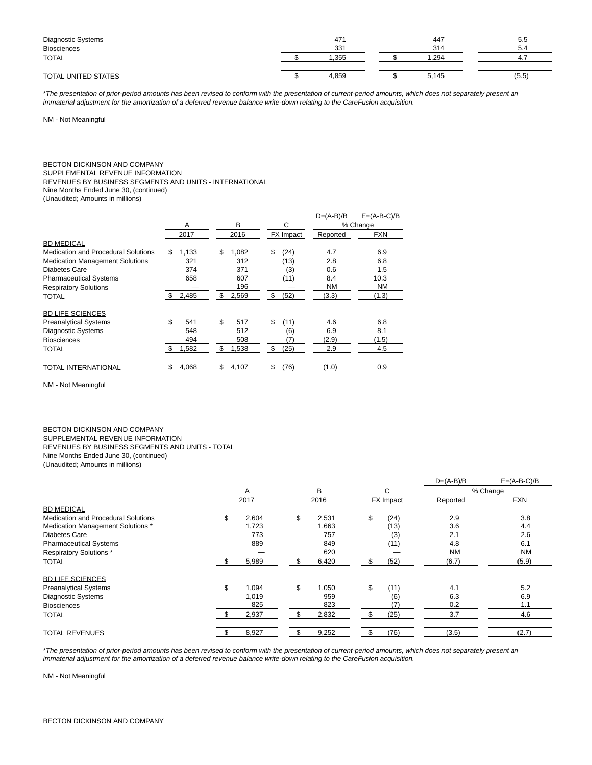| Diagnostic Systems<br><b>Biosciences</b> | 471<br>331 | 447<br>314 | 5.5<br>5.4 |
|------------------------------------------|------------|------------|------------|
| TOTAL                                    | .355       | .294       | -4.        |
| TOTAL UNITED STATES                      | 4.859      | 5.145      | (5.5)      |

\*The presentation of prior-period amounts has been revised to conform with the presentation of current-period amounts, which does not separately present an immaterial adjustment for the amortization of a deferred revenue balance write-down relating to the CareFusion acquisition.

NM - Not Meaningful

# BECTON DICKINSON AND COMPANY

SUPPLEMENTAL REVENUE INFORMATION

REVENUES BY BUSINESS SEGMENTS AND UNITS - INTERNATIONAL

Nine Months Ended June 30, (continued)

(Unaudited; Amounts in millions)

|                                        |     |       |             |     |                  | $D=(A-B)/B$ | $E=(A-B-C)/B$ |
|----------------------------------------|-----|-------|-------------|-----|------------------|-------------|---------------|
|                                        |     | A     | в           |     | С                |             | % Change      |
|                                        |     | 2017  | 2016        |     | <b>FX</b> Impact | Reported    | <b>FXN</b>    |
| <b>BD MEDICAL</b>                      |     |       |             |     |                  |             |               |
| Medication and Procedural Solutions    | \$  | 1.133 | \$<br>1,082 | \$  | (24)             | 4.7         | 6.9           |
| <b>Medication Management Solutions</b> |     | 321   | 312         |     | (13)             | 2.8         | 6.8           |
| Diabetes Care                          |     | 374   | 371         |     | (3)              | 0.6         | 1.5           |
| <b>Pharmaceutical Systems</b>          |     | 658   | 607         |     | (11)             | 8.4         | 10.3          |
| <b>Respiratory Solutions</b>           |     |       | 196         |     |                  | <b>NM</b>   | <b>NM</b>     |
| TOTAL                                  | \$. | 2,485 | \$<br>2,569 | \$. | (52)             | (3.3)       | (1.3)         |
| <b>BD LIFE SCIENCES</b>                |     |       |             |     |                  |             |               |
| <b>Preanalytical Systems</b>           | \$  | 541   | \$<br>517   | \$  | (11)             | 4.6         | 6.8           |
| <b>Diagnostic Systems</b>              |     | 548   | 512         |     | (6)              | 6.9         | 8.1           |
| <b>Biosciences</b>                     |     | 494   | 508         |     | 7)               | (2.9)       | (1.5)         |
| <b>TOTAL</b>                           | \$  | 1,582 | \$<br>1,538 | \$  | (25)             | 2.9         | 4.5           |
| TOTAL INTERNATIONAL                    |     | 4,068 | \$<br>4,107 |     | (76)             | (1.0)       | 0.9           |

NM - Not Meaningful

BECTON DICKINSON AND COMPANY SUPPLEMENTAL REVENUE INFORMATION REVENUES BY BUSINESS SEGMENTS AND UNITS - TOTAL Nine Months Ended June 30, (continued) (Unaudited; Amounts in millions)

|                                     |    |       |        |       |            | $D=(A-B)/B$ | $E=(A-B-C)/B$ |
|-------------------------------------|----|-------|--------|-------|------------|-------------|---------------|
|                                     | A  |       | B<br>C |       |            | % Change    |               |
|                                     |    | 2017  |        | 2016  | FX Impact  | Reported    | <b>FXN</b>    |
| <b>BD MEDICAL</b>                   |    |       |        |       |            |             |               |
| Medication and Procedural Solutions | \$ | 2,604 | \$     | 2,531 | \$<br>(24) | 2.9         | 3.8           |
| Medication Management Solutions *   |    | 1,723 |        | 1,663 | (13)       | 3.6         | 4.4           |
| <b>Diabetes Care</b>                |    | 773   |        | 757   | (3)        | 2.1         | 2.6           |
| <b>Pharmaceutical Systems</b>       |    | 889   |        | 849   | (11)       | 4.8         | 6.1           |
| Respiratory Solutions *             |    |       |        | 620   |            | <b>NM</b>   | <b>NM</b>     |
| <b>TOTAL</b>                        |    | 5,989 |        | 6,420 | (52)       | (6.7)       | (5.9)         |
| <b>BD LIFE SCIENCES</b>             |    |       |        |       |            |             |               |
| <b>Preanalytical Systems</b>        | \$ | 1,094 | \$     | 1,050 | \$<br>(11) | 4.1         | 5.2           |
| <b>Diagnostic Systems</b>           |    | 1,019 |        | 959   | (6)        | 6.3         | 6.9           |
| <b>Biosciences</b>                  |    | 825   |        | 823   | (7)        | 0.2         | 1.1           |
| <b>TOTAL</b>                        |    | 2,937 |        | 2,832 | (25)       | 3.7         | 4.6           |
| <b>TOTAL REVENUES</b>               |    | 8,927 |        | 9,252 | (76)       | (3.5)       | (2.7)         |

\*The presentation of prior-period amounts has been revised to conform with the presentation of current-period amounts, which does not separately present an immaterial adjustment for the amortization of a deferred revenue balance write-down relating to the CareFusion acquisition.

NM - Not Meaningful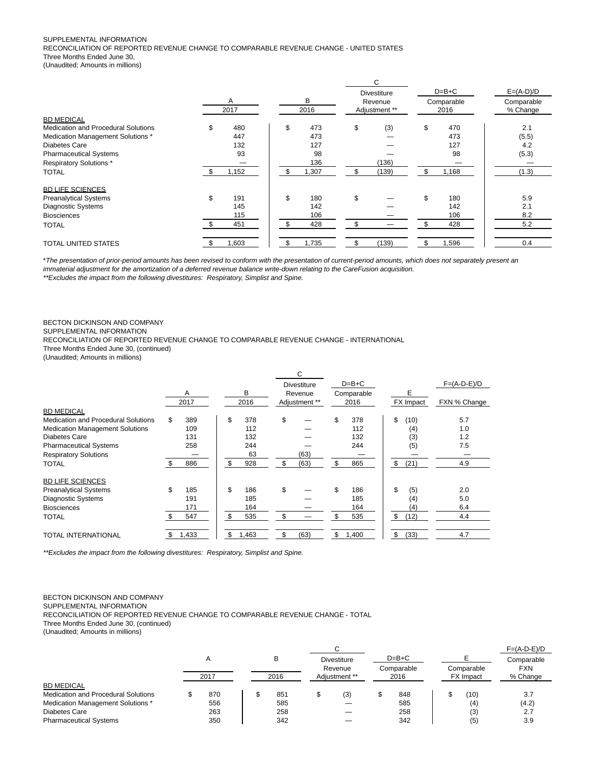#### SUPPLEMENTAL INFORMATION

RECONCILIATION OF REPORTED REVENUE CHANGE TO COMPARABLE REVENUE CHANGE - UNITED STATES Three Months Ended June 30,

(Unaudited; Amounts in millions)

|                                     |           |           |     | С                  |             |             |
|-------------------------------------|-----------|-----------|-----|--------------------|-------------|-------------|
|                                     |           |           |     | <b>Divestiture</b> | $D=B+C$     | $E=(A-D)/D$ |
|                                     | A         | в         |     | Revenue            | Comparable  | Comparable  |
|                                     | 2017      | 2016      |     | Adjustment **      | 2016        | % Change    |
| <b>BD MEDICAL</b>                   |           |           |     |                    |             |             |
| Medication and Procedural Solutions | \$<br>480 | \$<br>473 | \$  | (3)                | \$<br>470   | 2.1         |
| Medication Management Solutions *   | 447       | 473       |     |                    | 473         | (5.5)       |
| Diabetes Care                       | 132       | 127       |     |                    | 127         | 4.2         |
| <b>Pharmaceutical Systems</b>       | 93        | 98        |     |                    | 98          | (5.3)       |
| <b>Respiratory Solutions *</b>      |           | 136       |     | (136)              |             |             |
| <b>TOTAL</b>                        | 1,152     | 1,307     |     | (139)              | \$<br>1,168 | (1.3)       |
| <b>BD LIFE SCIENCES</b>             |           |           |     |                    |             |             |
| <b>Preanalytical Systems</b>        | \$<br>191 | \$<br>180 | \$  |                    | \$<br>180   | 5.9         |
| <b>Diagnostic Systems</b>           | 145       | 142       |     |                    | 142         | 2.1         |
| <b>Biosciences</b>                  | 115       | 106       |     |                    | 106         | 8.2         |
| <b>TOTAL</b>                        | 451       | 428       | \$. |                    | \$<br>428   | 5.2         |
| TOTAL UNITED STATES                 | 1,603     | 1,735     |     | (139)              | \$<br>.596  | 0.4         |

\*The presentation of prior-period amounts has been revised to conform with the presentation of current-period amounts, which does not separately present an immaterial adjustment for the amortization of a deferred revenue balance write-down relating to the CareFusion acquisition.

\*\*Excludes the impact from the following divestitures: Respiratory, Simplist and Spine.

### BECTON DICKINSON AND COMPANY

SUPPLEMENTAL INFORMATION

RECONCILIATION OF REPORTED REVENUE CHANGE TO COMPARABLE REVENUE CHANGE - INTERNATIONAL

Three Months Ended June 30, (continued)

(Unaudited; Amounts in millions)

|                                        |    | A<br>2017 | в<br>2016   | C<br><b>Divestiture</b><br>Revenue<br>Adjustment ** | $D=B+C$<br>Comparable<br>2016 | Е<br>FX Impact | $F=(A-D-E)/D$<br>FXN % Change |
|----------------------------------------|----|-----------|-------------|-----------------------------------------------------|-------------------------------|----------------|-------------------------------|
| <b>BD MEDICAL</b>                      |    |           |             |                                                     |                               |                |                               |
| Medication and Procedural Solutions    | \$ | 389       | \$<br>378   | \$                                                  | \$<br>378                     | \$<br>(10)     | 5.7                           |
| <b>Medication Management Solutions</b> |    | 109       | 112         |                                                     | 112                           | (4)            | 1.0                           |
| Diabetes Care                          |    | 131       | 132         |                                                     | 132                           | (3)            | 1.2                           |
| <b>Pharmaceutical Systems</b>          |    | 258       | 244         |                                                     | 244                           | (5)            | 7.5                           |
| <b>Respiratory Solutions</b>           |    |           | 63          | (63)                                                |                               |                |                               |
| <b>TOTAL</b>                           |    | 886       | \$<br>928   | \$<br>(63)                                          | \$<br>865                     | \$<br>(21)     | 4.9                           |
| <b>BD LIFE SCIENCES</b>                |    |           |             |                                                     |                               |                |                               |
| <b>Preanalytical Systems</b>           | \$ | 185       | \$<br>186   | \$                                                  | \$<br>186                     | \$<br>(5)      | 2.0                           |
| <b>Diagnostic Systems</b>              |    | 191       | 185         |                                                     | 185                           | (4)            | 5.0                           |
| <b>Biosciences</b>                     |    | 171       | 164         |                                                     | 164                           | (4)            | 6.4                           |
| <b>TOTAL</b>                           |    | 547       | \$<br>535   | \$                                                  | \$<br>535                     | \$<br>(12)     | 4.4                           |
| <b>TOTAL INTERNATIONAL</b>             | S  | 1,433     | \$<br>1,463 | \$<br>(63)                                          | \$<br>1,400                   | \$<br>(33)     | 4.7                           |

\*\*Excludes the impact from the following divestitures: Respiratory, Simplist and Spine.

#### BECTON DICKINSON AND COMPANY

SUPPLEMENTAL INFORMATION

RECONCILIATION OF REPORTED REVENUE CHANGE TO COMPARABLE REVENUE CHANGE - TOTAL

Three Months Ended June 30, (continued)

(Unaudited; Amounts in millions)

|                                            |      |  |           |   |                    |            |         |  |                  | $F=(A-D-E)/D$ |
|--------------------------------------------|------|--|-----------|---|--------------------|------------|---------|--|------------------|---------------|
|                                            | A    |  | в<br>2016 |   | <b>Divestiture</b> |            | $D=B+C$ |  |                  | Comparable    |
|                                            |      |  |           |   | Revenue            | Comparable |         |  | Comparable       | <b>FXN</b>    |
|                                            | 2017 |  |           |   | Adiustment **      |            | 2016    |  | <b>FX</b> Impact | % Change      |
| <b>BD MEDICAL</b>                          |      |  |           |   |                    |            |         |  |                  |               |
| <b>Medication and Procedural Solutions</b> | 870  |  | 851       | S | (3)                |            | 848     |  | (10)             | 3.7           |
| Medication Management Solutions *          | 556  |  | 585       |   |                    |            | 585     |  | (4)              | (4.2)         |
| Diabetes Care                              | 263  |  | 258       |   |                    |            | 258     |  | (3)              | 2.7           |
| <b>Pharmaceutical Systems</b>              | 350  |  | 342       |   |                    |            | 342     |  | (5)              | 3.9           |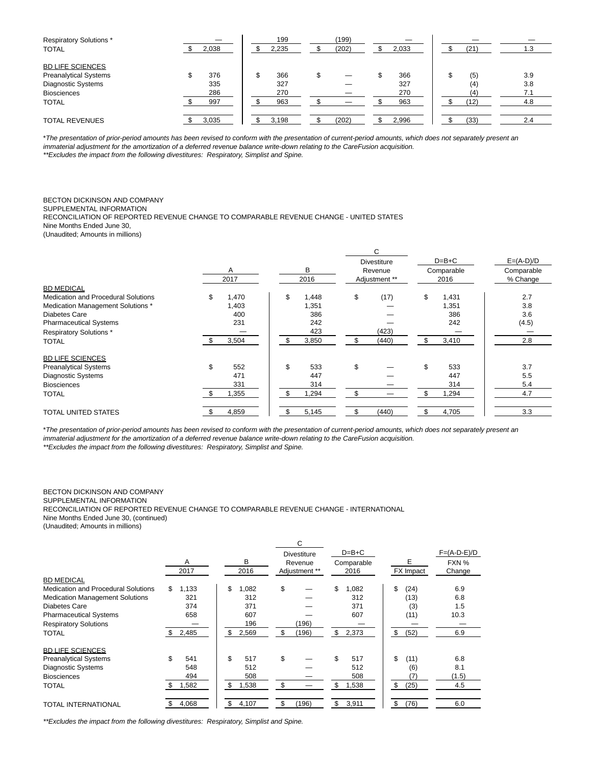| <b>Respiratory Solutions*</b> |       | 199   | (199) |       |      |     |     |
|-------------------------------|-------|-------|-------|-------|------|-----|-----|
| <b>TOTAL</b>                  | 2,038 | 2,235 | (202) | 2,033 | (21) |     | 1.3 |
| <b>BD LIFE SCIENCES</b>       |       |       |       |       |      |     |     |
| <b>Preanalytical Systems</b>  | 376   | 366   |       | 366   | (5)  | 3.9 |     |
| <b>Diagnostic Systems</b>     | 335   | 327   |       | 327   | (4)  | 3.8 |     |
| <b>Biosciences</b>            | 286   | 270   |       | 270   |      | 7.1 |     |
| <b>TOTAL</b>                  | 997   | 963   |       | 963   | (12) |     | 4.8 |
|                               |       |       |       |       |      |     |     |
| <b>TOTAL REVENUES</b>         | 3,035 | 3,198 | (202) | 2,996 | (33) |     | 2.4 |

\*The presentation of prior-period amounts has been revised to conform with the presentation of current-period amounts, which does not separately present an immaterial adjustment for the amortization of a deferred revenue balance write-down relating to the CareFusion acquisition.

\*\*Excludes the impact from the following divestitures: Respiratory, Simplist and Spine.

#### BECTON DICKINSON AND COMPANY

SUPPLEMENTAL INFORMATION

RECONCILIATION OF REPORTED REVENUE CHANGE TO COMPARABLE REVENUE CHANGE - UNITED STATES Nine Months Ended June 30,

(Unaudited; Amounts in millions)

|                                            | A<br>2017   | В<br>2016   | C<br><b>Divestiture</b><br>Revenue<br>Adjustment ** | $D=B+C$<br>Comparable<br>2016 | $E=(A-D)/D$<br>Comparable<br>% Change |
|--------------------------------------------|-------------|-------------|-----------------------------------------------------|-------------------------------|---------------------------------------|
| <b>BD MEDICAL</b>                          |             |             |                                                     |                               |                                       |
| <b>Medication and Procedural Solutions</b> | \$<br>1,470 | \$<br>1,448 | \$<br>(17)                                          | \$<br>1,431                   | 2.7                                   |
| Medication Management Solutions *          | 1,403       | 1,351       |                                                     | 1,351                         | 3.8                                   |
| Diabetes Care                              | 400         | 386         |                                                     | 386                           | 3.6                                   |
| <b>Pharmaceutical Systems</b>              | 231         | 242         |                                                     | 242                           | (4.5)                                 |
| Respiratory Solutions *                    |             | 423         | (423)                                               |                               |                                       |
| <b>TOTAL</b>                               | 3,504       | 3,850       | (440)                                               | 3,410                         | 2.8                                   |
| <b>BD LIFE SCIENCES</b>                    |             |             |                                                     |                               |                                       |
| <b>Preanalytical Systems</b>               | \$<br>552   | \$<br>533   | \$                                                  | \$<br>533                     | 3.7                                   |
| <b>Diagnostic Systems</b>                  | 471         | 447         |                                                     | 447                           | 5.5                                   |
| <b>Biosciences</b>                         | 331         | 314         |                                                     | 314                           | 5.4                                   |
| <b>TOTAL</b>                               | 1,355       | 1,294       | \$                                                  | 1,294                         | 4.7                                   |
| TOTAL UNITED STATES                        | 4,859       | 5,145       | (440)                                               | 4,705                         | 3.3                                   |

\*The presentation of prior-period amounts has been revised to conform with the presentation of current-period amounts, which does not separately present an immaterial adjustment for the amortization of a deferred revenue balance write-down relating to the CareFusion acquisition. \*\*Excludes the impact from the following divestitures: Respiratory, Simplist and Spine.

BECTON DICKINSON AND COMPANY SUPPLEMENTAL INFORMATION RECONCILIATION OF REPORTED REVENUE CHANGE TO COMPARABLE REVENUE CHANGE - INTERNATIONAL Nine Months Ended June 30, (continued)

(Unaudited; Amounts in millions)

|                                        |             |             | C                  |             |            |               |
|----------------------------------------|-------------|-------------|--------------------|-------------|------------|---------------|
|                                        |             |             | <b>Divestiture</b> | $D=B+C$     |            | $F=(A-D-E)/D$ |
|                                        | A           | в           | Revenue            | Comparable  | Е          | FXN %         |
|                                        | 2017        | 2016        | Adjustment **      | 2016        | FX Impact  | Change        |
| <b>BD MEDICAL</b>                      |             |             |                    |             |            |               |
| Medication and Procedural Solutions    | 1,133<br>\$ | \$<br>1,082 | \$                 | \$<br>1,082 | \$<br>(24) | 6.9           |
| <b>Medication Management Solutions</b> | 321         | 312         |                    | 312         | (13)       | 6.8           |
| Diabetes Care                          | 374         | 371         |                    | 371         | (3)        | 1.5           |
| <b>Pharmaceutical Systems</b>          | 658         | 607         |                    | 607         | (11)       | 10.3          |
| <b>Respiratory Solutions</b>           |             | 196         | (196)              |             |            |               |
| <b>TOTAL</b>                           | 2,485       | \$<br>2,569 | (196)<br>\$        | \$<br>2,373 | \$<br>(52) | 6.9           |
| <b>BD LIFE SCIENCES</b>                |             |             |                    |             |            |               |
| <b>Preanalytical Systems</b>           | 541         | \$<br>517   | \$                 | \$<br>517   | \$<br>(11) | 6.8           |
| <b>Diagnostic Systems</b>              | 548         | 512         |                    | 512         | (6)        | 8.1           |
| <b>Biosciences</b>                     | 494         | 508         |                    | 508         | 7)         | (1.5)         |
| <b>TOTAL</b>                           | 1,582       | \$<br>1,538 | \$                 | \$<br>1,538 | \$<br>(25) | 4.5           |
| <b>TOTAL INTERNATIONAL</b>             | 4,068       | \$<br>4,107 | \$<br>(196)        | \$<br>3,911 | \$<br>(76) | 6.0           |

\*\*Excludes the impact from the following divestitures: Respiratory, Simplist and Spine.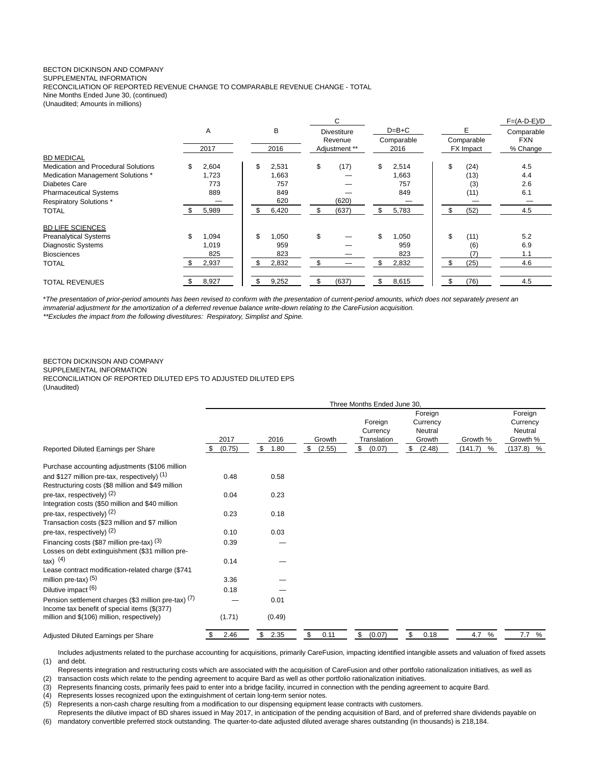### BECTON DICKINSON AND COMPANY

SUPPLEMENTAL INFORMATION

RECONCILIATION OF REPORTED REVENUE CHANGE TO COMPARABLE REVENUE CHANGE - TOTAL Nine Months Ended June 30, (continued)

(Unaudited; Amounts in millions)

|                                            |             |             | С                  |             |                  | $F=(A-D-E)/D$ |  |
|--------------------------------------------|-------------|-------------|--------------------|-------------|------------------|---------------|--|
|                                            | A           | В           | <b>Divestiture</b> | $D=B+C$     |                  | Comparable    |  |
|                                            |             |             | Revenue            | Comparable  | Comparable       | <b>FXN</b>    |  |
|                                            | 2017        | 2016        | Adjustment **      | 2016        | <b>FX</b> Impact | % Change      |  |
| <b>BD MEDICAL</b>                          |             |             |                    |             |                  |               |  |
| <b>Medication and Procedural Solutions</b> | 2,604       | \$<br>2,531 | \$<br>(17)         | \$<br>2,514 | \$<br>(24)       | 4.5           |  |
| Medication Management Solutions *          | 1,723       | 1,663       |                    | 1,663       | (13)             | 4.4           |  |
| Diabetes Care                              | 773         | 757         |                    | 757         | (3)              | 2.6           |  |
| <b>Pharmaceutical Systems</b>              | 889         | 849         |                    | 849         | (11)             | 6.1           |  |
| <b>Respiratory Solutions*</b>              |             | 620         | (620)              |             |                  |               |  |
| <b>TOTAL</b>                               | 5,989       | \$<br>6,420 | \$<br>(637)        | \$<br>5,783 | \$<br>(52)       | 4.5           |  |
| <b>BD LIFE SCIENCES</b>                    |             |             |                    |             |                  |               |  |
| <b>Preanalytical Systems</b>               | \$<br>1,094 | \$<br>1,050 | \$                 | \$<br>1,050 | \$<br>(11)       | 5.2           |  |
| <b>Diagnostic Systems</b>                  | 1,019       | 959         |                    | 959         | (6)              | 6.9           |  |
| <b>Biosciences</b>                         | 825         | 823         |                    | 823         |                  | 1.1           |  |
| <b>TOTAL</b>                               | 2,937       | \$<br>2,832 | \$                 | \$<br>2,832 | (25)             | 4.6           |  |
| <b>TOTAL REVENUES</b>                      | 8,927       | \$<br>9,252 | \$<br>(637)        | \$<br>8,615 | (76)             | 4.5           |  |

\*The presentation of prior-period amounts has been revised to conform with the presentation of current-period amounts, which does not separately present an immaterial adjustment for the amortization of a deferred revenue balance write-down relating to the CareFusion acquisition.

\*\*Excludes the impact from the following divestitures: Respiratory, Simplist and Spine.

#### BECTON DICKINSON AND COMPANY SUPPLEMENTAL INFORMATION RECONCILIATION OF REPORTED DILUTED EPS TO ADJUSTED DILUTED EPS (Unaudited)

|                                                                                                      | Three Months Ended June 30, |                    |                        |                                                    |                                                          |                          |                                                           |  |
|------------------------------------------------------------------------------------------------------|-----------------------------|--------------------|------------------------|----------------------------------------------------|----------------------------------------------------------|--------------------------|-----------------------------------------------------------|--|
| Reported Diluted Earnings per Share                                                                  | 2017<br>\$<br>(0.75)        | 2016<br>\$<br>1.80 | Growth<br>\$<br>(2.55) | Foreign<br>Currency<br>Translation<br>\$<br>(0.07) | Foreign<br>Currency<br>Neutral<br>Growth<br>\$<br>(2.48) | Growth %<br>(141.7)<br>% | Foreign<br>Currency<br>Neutral<br>Growth %<br>$(137.8)$ % |  |
| Purchase accounting adjustments (\$106 million                                                       |                             |                    |                        |                                                    |                                                          |                          |                                                           |  |
| and \$127 million pre-tax, respectively) $(1)$<br>Restructuring costs (\$8 million and \$49 million  | 0.48                        | 0.58               |                        |                                                    |                                                          |                          |                                                           |  |
| pre-tax, respectively) $(2)$<br>Integration costs (\$50 million and \$40 million                     | 0.04                        | 0.23               |                        |                                                    |                                                          |                          |                                                           |  |
| pre-tax, respectively) $(2)$<br>Transaction costs (\$23 million and \$7 million                      | 0.23                        | 0.18               |                        |                                                    |                                                          |                          |                                                           |  |
| pre-tax, respectively) $(2)$                                                                         | 0.10                        | 0.03               |                        |                                                    |                                                          |                          |                                                           |  |
| Financing costs (\$87 million pre-tax) (3)<br>Losses on debt extinguishment (\$31 million pre-       | 0.39                        |                    |                        |                                                    |                                                          |                          |                                                           |  |
| $\{$ ax $)$ $(4)$<br>Lease contract modification-related charge (\$741                               | 0.14                        |                    |                        |                                                    |                                                          |                          |                                                           |  |
| million pre-tax) (5)                                                                                 | 3.36                        |                    |                        |                                                    |                                                          |                          |                                                           |  |
| Dilutive impact (6)                                                                                  | 0.18                        |                    |                        |                                                    |                                                          |                          |                                                           |  |
| Pension settlement charges (\$3 million pre-tax) (7)<br>Income tax benefit of special items (\$(377) |                             | 0.01               |                        |                                                    |                                                          |                          |                                                           |  |
| million and \$(106) million, respectively)                                                           | (1.71)                      | (0.49)             |                        |                                                    |                                                          |                          |                                                           |  |
| Adjusted Diluted Earnings per Share                                                                  | 2.46<br>\$                  | \$2.35             | \$<br>0.11             | \$<br>(0.07)                                       | \$<br>0.18                                               | 4.7<br>%                 | 7.7 %                                                     |  |

(1) and debt. Includes adjustments related to the purchase accounting for acquisitions, primarily CareFusion, impacting identified intangible assets and valuation of fixed assets

Represents integration and restructuring costs which are associated with the acquisition of CareFusion and other portfolio rationalization initiatives, as well as

(2) transaction costs which relate to the pending agreement to acquire Bard as well as other portfolio rationalization initiatives.

(3) Represents financing costs, primarily fees paid to enter into a bridge facility, incurred in connection with the pending agreement to acquire Bard.

(4) Represents losses recognized upon the extinguishment of certain long-term senior notes.

(5) Represents a non-cash charge resulting from a modification to our dispensing equipment lease contracts with customers.

Represents the dilutive impact of BD shares issued in May 2017, in anticipation of the pending acquisition of Bard, and of preferred share dividends payable on

(6) mandatory convertible preferred stock outstanding. The quarter-to-date adjusted diluted average shares outstanding (in thousands) is 218,184.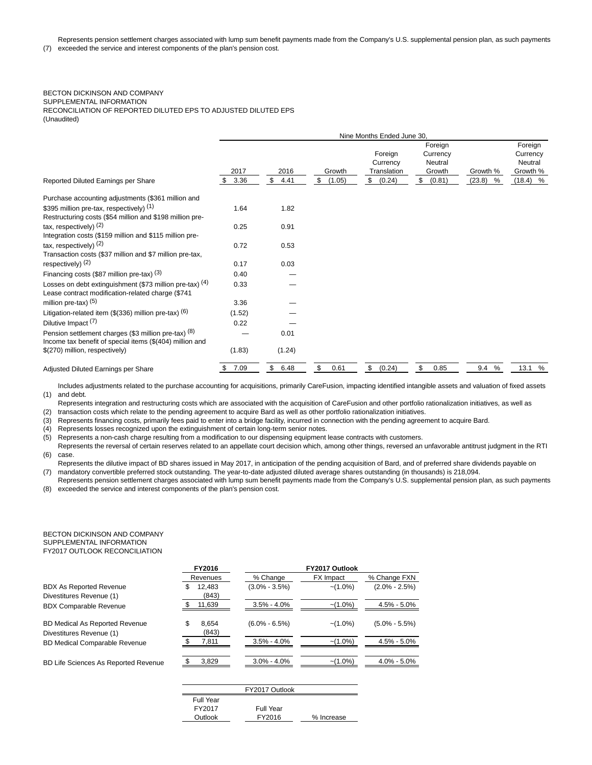Represents pension settlement charges associated with lump sum benefit payments made from the Company's U.S. supplemental pension plan, as such payments

(7) exceeded the service and interest components of the plan's pension cost.

## BECTON DICKINSON AND COMPANY SUPPLEMENTAL INFORMATION

RECONCILIATION OF REPORTED DILUTED EPS TO ADJUSTED DILUTED EPS

(Unaudited)

|                                                                                                                  | Nine Months Ended June 30, |                    |                       |                                                    |                                                          |                         |                                                          |
|------------------------------------------------------------------------------------------------------------------|----------------------------|--------------------|-----------------------|----------------------------------------------------|----------------------------------------------------------|-------------------------|----------------------------------------------------------|
| Reported Diluted Earnings per Share                                                                              | 2017<br>3.36               | 2016<br>\$<br>4.41 | Growth<br>(1.05)<br>S | Foreign<br>Currency<br>Translation<br>(0.24)<br>\$ | Foreign<br>Currency<br>Neutral<br>Growth<br>\$<br>(0.81) | Growth %<br>(23.8)<br>% | Foreign<br>Currency<br>Neutral<br>Growth %<br>$(18.4)$ % |
|                                                                                                                  |                            |                    |                       |                                                    |                                                          |                         |                                                          |
| Purchase accounting adjustments (\$361 million and                                                               |                            |                    |                       |                                                    |                                                          |                         |                                                          |
| \$395 million pre-tax, respectively) (1)<br>Restructuring costs (\$54 million and \$198 million pre-             | 1.64                       | 1.82               |                       |                                                    |                                                          |                         |                                                          |
| tax, respectively) $(2)$<br>Integration costs (\$159 million and \$115 million pre-                              | 0.25                       | 0.91               |                       |                                                    |                                                          |                         |                                                          |
| tax, respectively) $(2)$<br>Transaction costs (\$37 million and \$7 million pre-tax,                             | 0.72                       | 0.53               |                       |                                                    |                                                          |                         |                                                          |
| respectively) $(2)$                                                                                              | 0.17                       | 0.03               |                       |                                                    |                                                          |                         |                                                          |
| Financing costs (\$87 million pre-tax) (3)                                                                       | 0.40                       |                    |                       |                                                    |                                                          |                         |                                                          |
| Losses on debt extinguishment (\$73 million pre-tax) $(4)$<br>Lease contract modification-related charge (\$741  | 0.33                       |                    |                       |                                                    |                                                          |                         |                                                          |
| million pre-tax) $(5)$                                                                                           | 3.36                       |                    |                       |                                                    |                                                          |                         |                                                          |
| Litigation-related item $(\$$ (336) million pre-tax) $(6)$                                                       | (1.52)                     |                    |                       |                                                    |                                                          |                         |                                                          |
| Dilutive Impact <sup>(7)</sup>                                                                                   | 0.22                       |                    |                       |                                                    |                                                          |                         |                                                          |
| Pension settlement charges (\$3 million pre-tax) (8)<br>Income tax benefit of special items (\$(404) million and |                            | 0.01               |                       |                                                    |                                                          |                         |                                                          |
| \$(270) million, respectively)                                                                                   | (1.83)                     | (1.24)             |                       |                                                    |                                                          |                         |                                                          |
| Adjusted Diluted Earnings per Share                                                                              | 7.09<br>\$                 | \$<br>6.48         | \$<br>0.61            | \$<br>(0.24)                                       | \$<br>0.85                                               | 9.4%                    | 13.1 %                                                   |

(1) and debt. Includes adjustments related to the purchase accounting for acquisitions, primarily CareFusion, impacting identified intangible assets and valuation of fixed assets

Represents integration and restructuring costs which are associated with the acquisition of CareFusion and other portfolio rationalization initiatives, as well as

(2) transaction costs which relate to the pending agreement to acquire Bard as well as other portfolio rationalization initiatives.

(3) Represents financing costs, primarily fees paid to enter into a bridge facility, incurred in connection with the pending agreement to acquire Bard.

(4) Represents losses recognized upon the extinguishment of certain long-term senior notes.

(5) Represents a non-cash charge resulting from a modification to our dispensing equipment lease contracts with customers.

(6) Represents the reversal of certain reserves related to an appellate court decision which, among other things, reversed an unfavorable antitrust judgment in the RTI case.

(7) mandatory convertible preferred stock outstanding. The year-to-date adjusted diluted average shares outstanding (in thousands) is 218,094. Represents the dilutive impact of BD shares issued in May 2017, in anticipation of the pending acquisition of Bard, and of preferred share dividends payable on

(8) exceeded the service and interest components of the plan's pension cost. Represents pension settlement charges associated with lump sum benefit payments made from the Company's U.S. supplemental pension plan, as such payments

#### BECTON DICKINSON AND COMPANY SUPPLEMENTAL INFORMATION FY2017 OUTLOOK RECONCILIATION

|                                                                   | FY2016   |                 |                   |                  |                   |
|-------------------------------------------------------------------|----------|-----------------|-------------------|------------------|-------------------|
|                                                                   | Revenues |                 | % Change          | <b>FX</b> Impact | % Change FXN      |
| <b>BDX As Reported Revenue</b><br>Divestitures Revenue (1)        | S        | 12.483<br>(843) | $(3.0\% - 3.5\%)$ | $-(1.0\%)$       | $(2.0\% - 2.5\%)$ |
| <b>BDX Comparable Revenue</b>                                     |          | 11,639          | $3.5\% - 4.0\%$   | $-(1.0\%)$       | 4.5% - 5.0%       |
| <b>BD Medical As Reported Revenue</b><br>Divestitures Revenue (1) | S        | 8.654<br>(843)  | $(6.0\% - 6.5\%)$ | $-(1.0\%)$       | $(5.0\% - 5.5\%)$ |
| <b>BD Medical Comparable Revenue</b>                              |          | 7,811           | $3.5\% - 4.0\%$   | $-(1.0\%)$       | $4.5\% - 5.0\%$   |
| <b>BD Life Sciences As Reported Revenue</b>                       |          | 3.829           | $3.0\% - 4.0\%$   | $-(1.0\%)$       | $4.0\% - 5.0\%$   |

|           | FY2017 Outlook |            |
|-----------|----------------|------------|
| Full Year |                |            |
| FY2017    | Full Year      |            |
| Outlook   | FY2016         | % Increase |
|           |                |            |